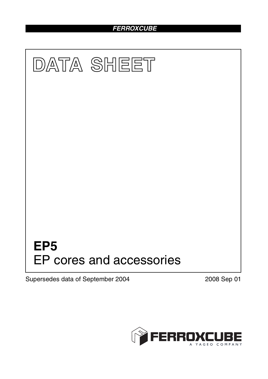# *FERROXCUBE*



Supersedes data of September 2004 2008 Sep 01

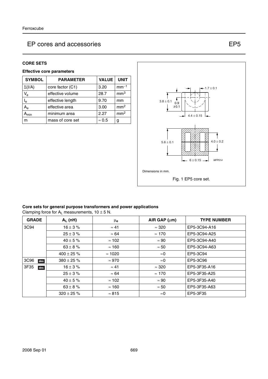#### **CORE SETS**

# **Effective core parameters**

| <b>SYMBOL</b>  | <b>PARAMETER</b>       | <b>VALUE</b>  | <b>UNIT</b>     |
|----------------|------------------------|---------------|-----------------|
| $\Sigma(I/A)$  | core factor (C1)       | 3.20          | $mm-1$          |
| $V_{e}$        | effective volume       | 28.7          | mm <sup>3</sup> |
| l <sub>e</sub> | effective length       | 9.70          | mm              |
| Ae             | 3.00<br>effective area |               | mm <sup>2</sup> |
| <b>\</b> min   | 2.27<br>minimum area   |               | mm <sup>2</sup> |
| m              | mass of core set       | $\approx 0.5$ | g               |



#### **Core sets for general purpose transformers and power applications**

Clamping force for  $A_L$  measurements,  $10 \pm 5$  N.

| <b>GRADE</b> | $A_L$ (nH)      | μ <sub>e</sub> | AIR GAP $(\mu m)$ | <b>TYPE NUMBER</b> |
|--------------|-----------------|----------------|-------------------|--------------------|
| 3C94         | $16 \pm 3 \%$   | $\approx 41$   | $\approx 320$     | EP5-3C94-A16       |
|              | $25 \pm 3 \%$   | $\approx 64$   | $\approx$ 170     | EP5-3C94-A25       |
|              | $40 \pm 5 \%$   | $\approx$ 102  | $\approx 90$      | EP5-3C94-A40       |
|              | $63 \pm 8 \%$   | $\approx$ 160  | $\approx 50$      | EP5-3C94-A63       |
|              | $400 \pm 25 \%$ | $\approx$ 1020 | $\approx$ 0       | EP5-3C94           |
| 3C96<br>des  | $380 \pm 25 \%$ | $\approx 970$  | $\approx$ 0       | EP5-3C96           |
| 3F35<br>des  | $16 \pm 3 \%$   | $\approx 41$   | $\approx 320$     | EP5-3F35-A16       |
|              | $25 \pm 3 \%$   | $\approx 64$   | $\approx$ 170     | EP5-3F35-A25       |
|              | $40 \pm 5 \%$   | $\approx$ 102  | $\approx 90$      | EP5-3F35-A40       |
|              | $63 \pm 8 \%$   | $\approx$ 160  | $\approx 50$      | EP5-3F35-A63       |
|              | $320 \pm 25 \%$ | $\approx 815$  | $\approx$ 0       | EP5-3F35           |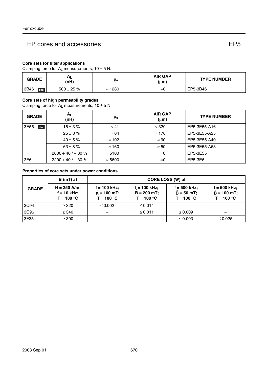## **Core sets for filter applications**

Clamping force for  $A_L$  measurements,  $10 \pm 5$  N.

| <b>GRADE</b> | <u>n</u><br>(nH) | μe             | <b>AIR GAP</b><br>(µm) | <b>TYPE NUMBER</b> |
|--------------|------------------|----------------|------------------------|--------------------|
| 3B46<br>des  | $500 \pm 25 \%$  | $\approx$ 1280 | ≈ບ                     | EP5-3B46           |

#### **Core sets of high permeability grades**

Clamping force for  $A_L$  measurements,  $10 \pm 5$  N.

| <b>GRADE</b>    | $A_{L}$<br>(nH)   | μ <sub>e</sub> | <b>AIR GAP</b><br>$(\mu m)$ | <b>TYPE NUMBER</b> |
|-----------------|-------------------|----------------|-----------------------------|--------------------|
| 3E55<br>des     | $16 \pm 3 \%$     | $\approx 41$   | $\approx 320$               | EP5-3E55-A16       |
|                 | $25 \pm 3 \%$     | $\approx 64$   | $\approx$ 170               | EP5-3E55-A25       |
|                 | $40 \pm 5 \%$     | $\approx$ 102  | $\approx 90$                | EP5-3E55-A40       |
|                 | $63 \pm 8 \%$     | $\approx$ 160  | $\approx 50$                | EP5-3E55-A63       |
|                 | $2000 + 40/- 30%$ | $\approx 5100$ | $\approx$ 0                 | EP5-3E55           |
| 3E <sub>6</sub> | $2200 + 40/- 30%$ | $\approx$ 5600 | $\approx$ 0                 | EP5-3E6            |

#### **Properties of core sets under power conditions**

|              | B (mT) at                                       | CORE LOSS (W) at                                      |                                                  |                                                 |                                                |
|--------------|-------------------------------------------------|-------------------------------------------------------|--------------------------------------------------|-------------------------------------------------|------------------------------------------------|
| <b>GRADE</b> | $H = 250$ A/m;<br>$f = 10$ kHz;<br>$T = 100 °C$ | $f = 100$ kHz;<br>$\hat{B}$ = 100 mT;<br>$T = 100 °C$ | $f = 100$ kHz;<br>$B = 200 mT$ ;<br>$T = 100 °C$ | $f = 500$ kHz;<br>$B = 50 mT$ ;<br>$T = 100 °C$ | f = 500 kHz;<br>$B = 100 mT$ ;<br>$T = 100 °C$ |
| 3C94         | $\geq$ 320                                      | $\leq 0.002$                                          | $\leq$ 0.014                                     |                                                 |                                                |
| 3C96         | $\geq$ 340                                      |                                                       | ≤ 0.011                                          | $\leq 0.009$                                    |                                                |
| 3F35         | $\geq 300$                                      |                                                       |                                                  | $\leq 0.003$                                    | $\leq 0.025$                                   |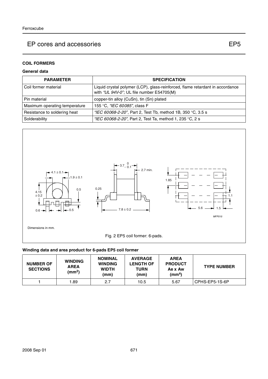# **COIL FORMERS**

## **General data**

| <b>PARAMETER</b>              | <b>SPECIFICATION</b>                                                                                                       |
|-------------------------------|----------------------------------------------------------------------------------------------------------------------------|
| Coil former material          | Liquid crystal polymer (LCP), glass-reinforced, flame retardant in accordance<br>with "UL 94V-0"; UL file number E54705(M) |
| Pin material                  | copper-tin alloy (CuSn), tin (Sn) plated                                                                                   |
| Maximum operating temperature | 155 °C, "IEC 60085", class F                                                                                               |
| Resistance to soldering heat  | "IEC 60068-2-20", Part 2, Test Tb, method 1B, 350 °C, 3.5 s                                                                |
| Solderability                 | "IEC 60068-2-20", Part 2, Test Ta, method 1, 235 °C, 2 s                                                                   |



## **Winding data and area product for 6-pads EP5 coil former**

| <b>NUMBER OF</b><br><b>SECTIONS</b> | <b>WINDING</b><br><b>AREA</b><br>(mm <sup>2</sup> ) | <b>NOMINAL</b><br><b>WINDING</b><br><b>WIDTH</b><br>(mm) | <b>AVERAGE</b><br><b>LENGTH OF</b><br>TURN<br>(mm) | <b>AREA</b><br><b>PRODUCT</b><br>Ae x Aw<br>(mm <sup>4</sup> ) | <b>TYPE NUMBER</b> |
|-------------------------------------|-----------------------------------------------------|----------------------------------------------------------|----------------------------------------------------|----------------------------------------------------------------|--------------------|
|                                     | 1.89                                                | 2.7                                                      | 10.5                                               | 5.67                                                           | CPHS-EP5-1S-6P     |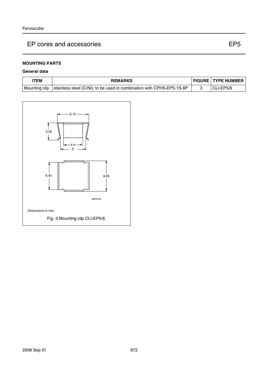# **MOUNTING PARTS**

## **General data**

| TEM | <b>REMARKS</b>                                                                        | <b>FIGURE TYPE NUMBER</b> |
|-----|---------------------------------------------------------------------------------------|---------------------------|
|     | Mounting clip   stainless steel (CrNi); to be used in combination with CPHS-EP5-1S-6P | CLI-EP5/6                 |